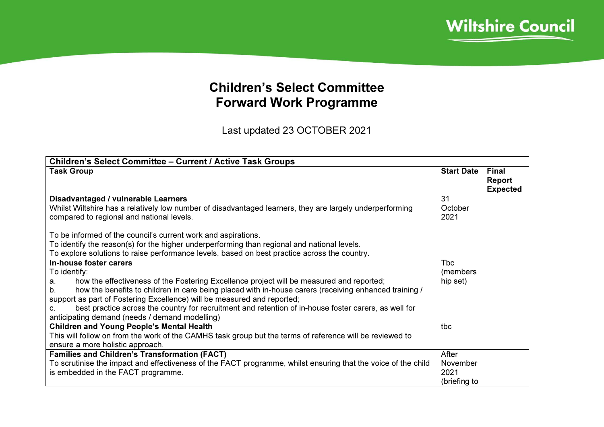

## Children's Select Committee Forward Work Programme

Last updated 23 OCTOBER 2021

| <b>Children's Select Committee - Current / Active Task Groups</b>                                                                                                                                                                                            |                   |                                           |
|--------------------------------------------------------------------------------------------------------------------------------------------------------------------------------------------------------------------------------------------------------------|-------------------|-------------------------------------------|
| <b>Task Group</b>                                                                                                                                                                                                                                            | <b>Start Date</b> | <b>Final</b><br>Report<br><b>Expected</b> |
| Disadvantaged / vulnerable Learners                                                                                                                                                                                                                          | 31                |                                           |
| Whilst Wiltshire has a relatively low number of disadvantaged learners, they are largely underperforming                                                                                                                                                     | October           |                                           |
| compared to regional and national levels.                                                                                                                                                                                                                    | 2021              |                                           |
| To be informed of the council's current work and aspirations.<br>To identify the reason(s) for the higher underperforming than regional and national levels.<br>To explore solutions to raise performance levels, based on best practice across the country. |                   |                                           |
| In-house foster carers                                                                                                                                                                                                                                       | <b>T</b> bc       |                                           |
| To identify:                                                                                                                                                                                                                                                 | (members)         |                                           |
| how the effectiveness of the Fostering Excellence project will be measured and reported;<br>a.                                                                                                                                                               | hip set)          |                                           |
| how the benefits to children in care being placed with in-house carers (receiving enhanced training /<br>b <sub>1</sub>                                                                                                                                      |                   |                                           |
| support as part of Fostering Excellence) will be measured and reported;                                                                                                                                                                                      |                   |                                           |
| best practice across the country for recruitment and retention of in-house foster carers, as well for<br>C.                                                                                                                                                  |                   |                                           |
| anticipating demand (needs / demand modelling)                                                                                                                                                                                                               |                   |                                           |
| <b>Children and Young People's Mental Health</b>                                                                                                                                                                                                             | tbc               |                                           |
| This will follow on from the work of the CAMHS task group but the terms of reference will be reviewed to                                                                                                                                                     |                   |                                           |
| ensure a more holistic approach.                                                                                                                                                                                                                             |                   |                                           |
| <b>Families and Children's Transformation (FACT)</b>                                                                                                                                                                                                         | After             |                                           |
| To scrutinise the impact and effectiveness of the FACT programme, whilst ensuring that the voice of the child                                                                                                                                                | November          |                                           |
| is embedded in the FACT programme.                                                                                                                                                                                                                           | 2021              |                                           |
|                                                                                                                                                                                                                                                              | (briefing to      |                                           |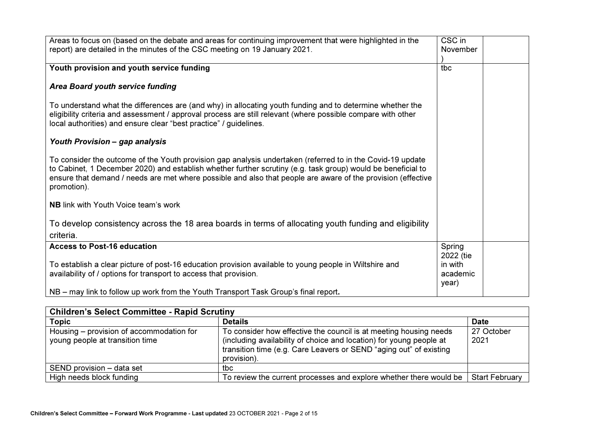| Areas to focus on (based on the debate and areas for continuing improvement that were highlighted in the<br>report) are detailed in the minutes of the CSC meeting on 19 January 2021.                                                                                                                                                                    | CSC in<br>November                        |  |
|-----------------------------------------------------------------------------------------------------------------------------------------------------------------------------------------------------------------------------------------------------------------------------------------------------------------------------------------------------------|-------------------------------------------|--|
| Youth provision and youth service funding                                                                                                                                                                                                                                                                                                                 | tbc                                       |  |
| <b>Area Board youth service funding</b>                                                                                                                                                                                                                                                                                                                   |                                           |  |
| To understand what the differences are (and why) in allocating youth funding and to determine whether the<br>eligibility criteria and assessment / approval process are still relevant (where possible compare with other<br>local authorities) and ensure clear "best practice" / guidelines.                                                            |                                           |  |
| Youth Provision - gap analysis                                                                                                                                                                                                                                                                                                                            |                                           |  |
| To consider the outcome of the Youth provision gap analysis undertaken (referred to in the Covid-19 update<br>to Cabinet, 1 December 2020) and establish whether further scrutiny (e.g. task group) would be beneficial to<br>ensure that demand / needs are met where possible and also that people are aware of the provision (effective<br>promotion). |                                           |  |
| <b>NB</b> link with Youth Voice team's work                                                                                                                                                                                                                                                                                                               |                                           |  |
| To develop consistency across the 18 area boards in terms of allocating youth funding and eligibility<br>criteria.                                                                                                                                                                                                                                        |                                           |  |
| <b>Access to Post-16 education</b>                                                                                                                                                                                                                                                                                                                        | Spring                                    |  |
| To establish a clear picture of post-16 education provision available to young people in Wiltshire and<br>availability of / options for transport to access that provision.                                                                                                                                                                               | 2022 (tie<br>in with<br>academic<br>year) |  |
| NB – may link to follow up work from the Youth Transport Task Group's final report.                                                                                                                                                                                                                                                                       |                                           |  |

| <b>Children's Select Committee - Rapid Scrutiny</b>                         |                                                                                                                                                                                                                               |                       |  |  |  |
|-----------------------------------------------------------------------------|-------------------------------------------------------------------------------------------------------------------------------------------------------------------------------------------------------------------------------|-----------------------|--|--|--|
| <b>Topic</b>                                                                | <b>Details</b>                                                                                                                                                                                                                | <b>Date</b>           |  |  |  |
| Housing – provision of accommodation for<br>young people at transition time | To consider how effective the council is at meeting housing needs<br>(including availability of choice and location) for young people at<br>transition time (e.g. Care Leavers or SEND "aging out" of existing<br>provision). | 27 October<br>2021    |  |  |  |
| SEND provision – data set                                                   | tbc                                                                                                                                                                                                                           |                       |  |  |  |
| High needs block funding                                                    | To review the current processes and explore whether there would be                                                                                                                                                            | <b>Start February</b> |  |  |  |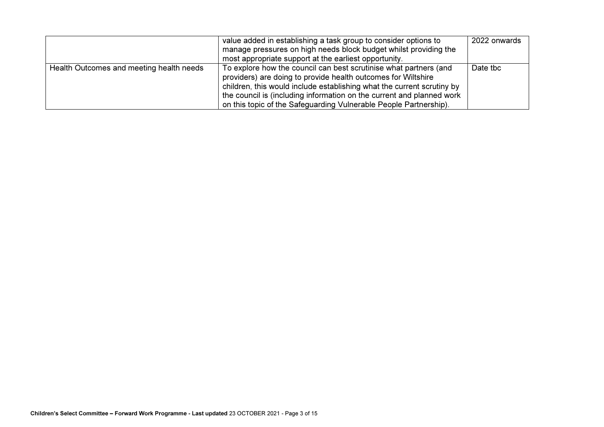|                                          | value added in establishing a task group to consider options to        | 2022 onwards |
|------------------------------------------|------------------------------------------------------------------------|--------------|
|                                          | manage pressures on high needs block budget whilst providing the       |              |
|                                          | most appropriate support at the earliest opportunity.                  |              |
| Health Outcomes and meeting health needs | To explore how the council can best scrutinise what partners (and      | Date tbc     |
|                                          | providers) are doing to provide health outcomes for Wiltshire          |              |
|                                          | children, this would include establishing what the current scrutiny by |              |
|                                          | the council is (including information on the current and planned work  |              |
|                                          | on this topic of the Safeguarding Vulnerable People Partnership).      |              |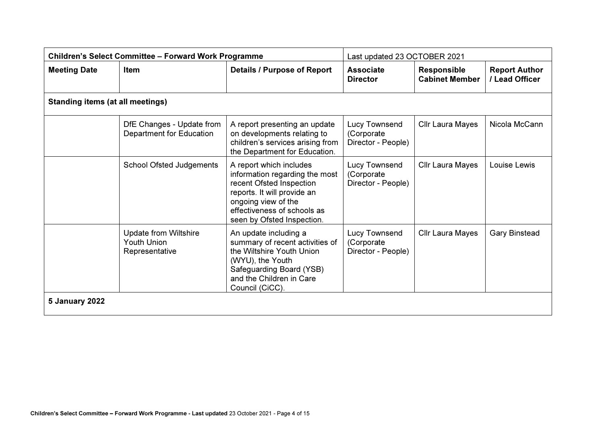| <b>Children's Select Committee - Forward Work Programme</b> |                                                                      | Last updated 23 OCTOBER 2021                                                                                                                                                                             |                                                   |                                             |                                        |  |
|-------------------------------------------------------------|----------------------------------------------------------------------|----------------------------------------------------------------------------------------------------------------------------------------------------------------------------------------------------------|---------------------------------------------------|---------------------------------------------|----------------------------------------|--|
| <b>Meeting Date</b>                                         | <b>Item</b>                                                          | <b>Details / Purpose of Report</b>                                                                                                                                                                       | <b>Associate</b><br><b>Director</b>               | <b>Responsible</b><br><b>Cabinet Member</b> | <b>Report Author</b><br>/ Lead Officer |  |
|                                                             | <b>Standing items (at all meetings)</b>                              |                                                                                                                                                                                                          |                                                   |                                             |                                        |  |
|                                                             | DfE Changes - Update from<br>Department for Education                | A report presenting an update<br>on developments relating to<br>children's services arising from<br>the Department for Education.                                                                        | Lucy Townsend<br>(Corporate<br>Director - People) | Cllr Laura Mayes                            | Nicola McCann                          |  |
|                                                             | <b>School Ofsted Judgements</b>                                      | A report which includes<br>information regarding the most<br>recent Ofsted Inspection<br>reports. It will provide an<br>ongoing view of the<br>effectiveness of schools as<br>seen by Ofsted Inspection. | Lucy Townsend<br>(Corporate<br>Director - People) | <b>Cllr Laura Mayes</b>                     | Louise Lewis                           |  |
|                                                             | <b>Update from Wiltshire</b><br><b>Youth Union</b><br>Representative | An update including a<br>summary of recent activities of<br>the Wiltshire Youth Union<br>(WYU), the Youth<br>Safeguarding Board (YSB)<br>and the Children in Care<br>Council (CiCC).                     | Lucy Townsend<br>(Corporate<br>Director - People) | Cllr Laura Mayes                            | <b>Gary Binstead</b>                   |  |
| <b>5 January 2022</b>                                       |                                                                      |                                                                                                                                                                                                          |                                                   |                                             |                                        |  |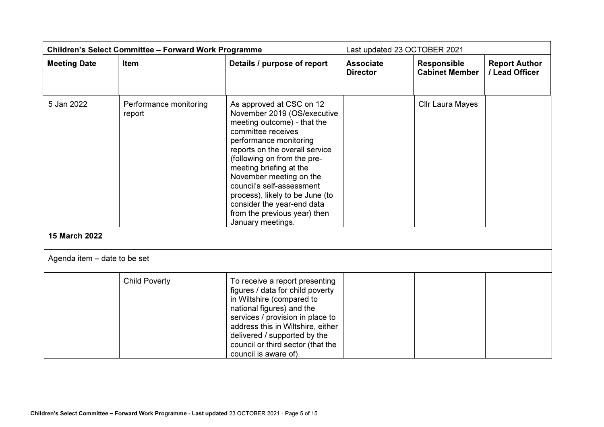| <b>Children's Select Committee - Forward Work Programme</b> |                                  | Last updated 23 OCTOBER 2021                                                                                                                                                                                                                                                                                                                                                                                     |                                     |                                             |                                        |
|-------------------------------------------------------------|----------------------------------|------------------------------------------------------------------------------------------------------------------------------------------------------------------------------------------------------------------------------------------------------------------------------------------------------------------------------------------------------------------------------------------------------------------|-------------------------------------|---------------------------------------------|----------------------------------------|
| <b>Meeting Date</b>                                         | Item                             | Details / purpose of report                                                                                                                                                                                                                                                                                                                                                                                      | <b>Associate</b><br><b>Director</b> | <b>Responsible</b><br><b>Cabinet Member</b> | <b>Report Author</b><br>/ Lead Officer |
| 5 Jan 2022                                                  | Performance monitoring<br>report | As approved at CSC on 12<br>November 2019 (OS/executive<br>meeting outcome) - that the<br>committee receives<br>performance monitoring<br>reports on the overall service<br>(following on from the pre-<br>meeting briefing at the<br>November meeting on the<br>council's self-assessment<br>process), likely to be June (to<br>consider the year-end data<br>from the previous year) then<br>January meetings. |                                     | Cllr Laura Mayes                            |                                        |
| 15 March 2022                                               |                                  |                                                                                                                                                                                                                                                                                                                                                                                                                  |                                     |                                             |                                        |
| Agenda item - date to be set                                |                                  |                                                                                                                                                                                                                                                                                                                                                                                                                  |                                     |                                             |                                        |
|                                                             | <b>Child Poverty</b>             | To receive a report presenting<br>figures / data for child poverty<br>in Wiltshire (compared to<br>national figures) and the<br>services / provision in place to<br>address this in Wiltshire, either<br>delivered / supported by the<br>council or third sector (that the<br>council is aware of).                                                                                                              |                                     |                                             |                                        |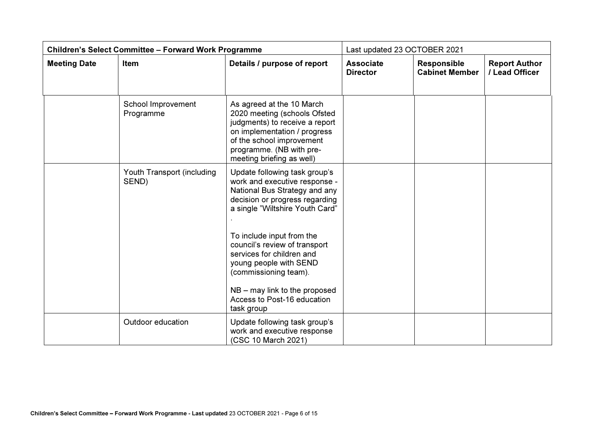| <b>Children's Select Committee - Forward Work Programme</b> |                                     | Last updated 23 OCTOBER 2021                                                                                                                                                                                                                                                                                                                                                                       |                                     |                                             |                                        |
|-------------------------------------------------------------|-------------------------------------|----------------------------------------------------------------------------------------------------------------------------------------------------------------------------------------------------------------------------------------------------------------------------------------------------------------------------------------------------------------------------------------------------|-------------------------------------|---------------------------------------------|----------------------------------------|
| <b>Meeting Date</b>                                         | Item                                | Details / purpose of report                                                                                                                                                                                                                                                                                                                                                                        | <b>Associate</b><br><b>Director</b> | <b>Responsible</b><br><b>Cabinet Member</b> | <b>Report Author</b><br>/ Lead Officer |
|                                                             | School Improvement<br>Programme     | As agreed at the 10 March<br>2020 meeting (schools Ofsted<br>judgments) to receive a report<br>on implementation / progress<br>of the school improvement<br>programme. (NB with pre-<br>meeting briefing as well)                                                                                                                                                                                  |                                     |                                             |                                        |
|                                                             | Youth Transport (including<br>SEND) | Update following task group's<br>work and executive response -<br>National Bus Strategy and any<br>decision or progress regarding<br>a single "Wiltshire Youth Card"<br>To include input from the<br>council's review of transport<br>services for children and<br>young people with SEND<br>(commissioning team).<br>$NB -$ may link to the proposed<br>Access to Post-16 education<br>task group |                                     |                                             |                                        |
|                                                             | Outdoor education                   | Update following task group's<br>work and executive response<br>(CSC 10 March 2021)                                                                                                                                                                                                                                                                                                                |                                     |                                             |                                        |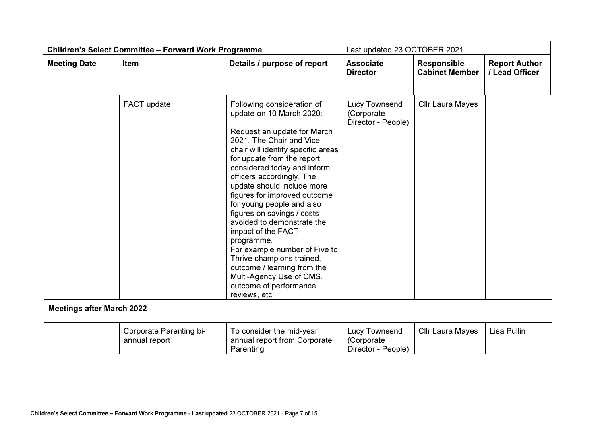| <b>Children's Select Committee - Forward Work Programme</b> |                                          |                                                                                                                                                                                                                                                                                                                                                                                                                                                                                                                                                                                                                   | Last updated 23 OCTOBER 2021                      |                                             |                                        |
|-------------------------------------------------------------|------------------------------------------|-------------------------------------------------------------------------------------------------------------------------------------------------------------------------------------------------------------------------------------------------------------------------------------------------------------------------------------------------------------------------------------------------------------------------------------------------------------------------------------------------------------------------------------------------------------------------------------------------------------------|---------------------------------------------------|---------------------------------------------|----------------------------------------|
| <b>Meeting Date</b>                                         | <b>Item</b>                              | Details / purpose of report                                                                                                                                                                                                                                                                                                                                                                                                                                                                                                                                                                                       | <b>Associate</b><br><b>Director</b>               | <b>Responsible</b><br><b>Cabinet Member</b> | <b>Report Author</b><br>/ Lead Officer |
|                                                             | FACT update                              | Following consideration of<br>update on 10 March 2020:<br>Request an update for March<br>2021. The Chair and Vice-<br>chair will identify specific areas<br>for update from the report<br>considered today and inform<br>officers accordingly. The<br>update should include more<br>figures for improved outcome<br>for young people and also<br>figures on savings / costs<br>avoided to demonstrate the<br>impact of the FACT<br>programme.<br>For example number of Five to<br>Thrive champions trained,<br>outcome / learning from the<br>Multi-Agency Use of CMS,<br>outcome of performance<br>reviews, etc. | Lucy Townsend<br>(Corporate<br>Director - People) | Cllr Laura Mayes                            |                                        |
| <b>Meetings after March 2022</b>                            |                                          |                                                                                                                                                                                                                                                                                                                                                                                                                                                                                                                                                                                                                   |                                                   |                                             |                                        |
|                                                             | Corporate Parenting bi-<br>annual report | To consider the mid-year<br>annual report from Corporate<br>Parenting                                                                                                                                                                                                                                                                                                                                                                                                                                                                                                                                             | Lucy Townsend<br>(Corporate<br>Director - People) | Cllr Laura Mayes                            | Lisa Pullin                            |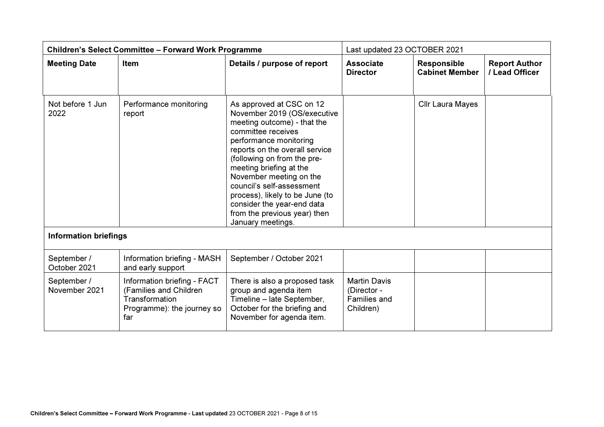| <b>Children's Select Committee - Forward Work Programme</b> |                                                                                                              | Last updated 23 OCTOBER 2021                                                                                                                                                                                                                                                                                                                                                                                     |                                                                        |                                             |                                        |
|-------------------------------------------------------------|--------------------------------------------------------------------------------------------------------------|------------------------------------------------------------------------------------------------------------------------------------------------------------------------------------------------------------------------------------------------------------------------------------------------------------------------------------------------------------------------------------------------------------------|------------------------------------------------------------------------|---------------------------------------------|----------------------------------------|
| <b>Meeting Date</b>                                         | Item                                                                                                         | Details / purpose of report                                                                                                                                                                                                                                                                                                                                                                                      | <b>Associate</b><br><b>Director</b>                                    | <b>Responsible</b><br><b>Cabinet Member</b> | <b>Report Author</b><br>/ Lead Officer |
| Not before 1 Jun<br>2022                                    | Performance monitoring<br>report                                                                             | As approved at CSC on 12<br>November 2019 (OS/executive<br>meeting outcome) - that the<br>committee receives<br>performance monitoring<br>reports on the overall service<br>(following on from the pre-<br>meeting briefing at the<br>November meeting on the<br>council's self-assessment<br>process), likely to be June (to<br>consider the year-end data<br>from the previous year) then<br>January meetings. |                                                                        | Cllr Laura Mayes                            |                                        |
| <b>Information briefings</b>                                |                                                                                                              |                                                                                                                                                                                                                                                                                                                                                                                                                  |                                                                        |                                             |                                        |
| September /<br>October 2021                                 | Information briefing - MASH<br>and early support                                                             | September / October 2021                                                                                                                                                                                                                                                                                                                                                                                         |                                                                        |                                             |                                        |
| September /<br>November 2021                                | Information briefing - FACT<br>(Families and Children<br>Transformation<br>Programme): the journey so<br>far | There is also a proposed task<br>group and agenda item<br>Timeline - late September,<br>October for the briefing and<br>November for agenda item.                                                                                                                                                                                                                                                                | <b>Martin Davis</b><br>(Director -<br><b>Families and</b><br>Children) |                                             |                                        |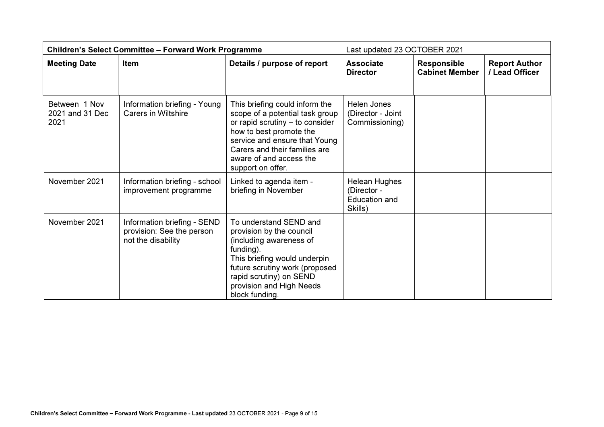| <b>Children's Select Committee - Forward Work Programme</b> |                                                                                |                                                                                                                                                                                                                                                   | Last updated 23 OCTOBER 2021                                           |                                             |                                        |
|-------------------------------------------------------------|--------------------------------------------------------------------------------|---------------------------------------------------------------------------------------------------------------------------------------------------------------------------------------------------------------------------------------------------|------------------------------------------------------------------------|---------------------------------------------|----------------------------------------|
| <b>Meeting Date</b>                                         | Item                                                                           | Details / purpose of report                                                                                                                                                                                                                       | <b>Associate</b><br><b>Director</b>                                    | <b>Responsible</b><br><b>Cabinet Member</b> | <b>Report Author</b><br>/ Lead Officer |
| Between 1 Nov<br>2021 and 31 Dec<br>2021                    | Information briefing - Young<br><b>Carers in Wiltshire</b>                     | This briefing could inform the<br>scope of a potential task group<br>or rapid scrutiny - to consider<br>how to best promote the<br>service and ensure that Young<br>Carers and their families are<br>aware of and access the<br>support on offer. | <b>Helen Jones</b><br>(Director - Joint<br>Commissioning)              |                                             |                                        |
| November 2021                                               | Information briefing - school<br>improvement programme                         | Linked to agenda item -<br>briefing in November                                                                                                                                                                                                   | <b>Helean Hughes</b><br>(Director -<br><b>Education and</b><br>Skills) |                                             |                                        |
| November 2021                                               | Information briefing - SEND<br>provision: See the person<br>not the disability | To understand SEND and<br>provision by the council<br>(including awareness of<br>funding).<br>This briefing would underpin<br>future scrutiny work (proposed<br>rapid scrutiny) on SEND<br>provision and High Needs<br>block funding.             |                                                                        |                                             |                                        |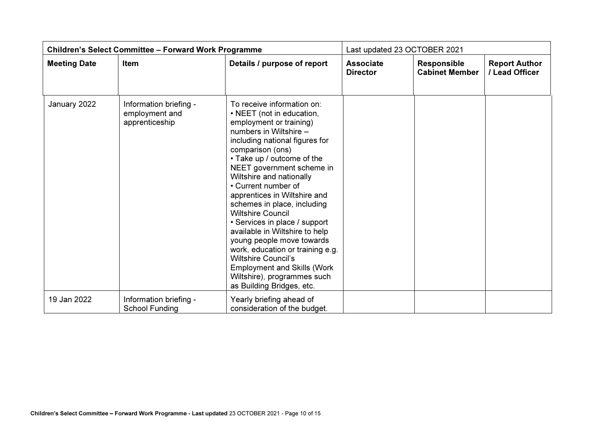| <b>Children's Select Committee - Forward Work Programme</b> |                                                            | Last updated 23 OCTOBER 2021                                                                                                                                                                                                                                                                                                                                                                                                                                                                                                                                                                                                                    |                                     |                                             |                                        |
|-------------------------------------------------------------|------------------------------------------------------------|-------------------------------------------------------------------------------------------------------------------------------------------------------------------------------------------------------------------------------------------------------------------------------------------------------------------------------------------------------------------------------------------------------------------------------------------------------------------------------------------------------------------------------------------------------------------------------------------------------------------------------------------------|-------------------------------------|---------------------------------------------|----------------------------------------|
| <b>Meeting Date</b>                                         | Item                                                       | Details / purpose of report                                                                                                                                                                                                                                                                                                                                                                                                                                                                                                                                                                                                                     | <b>Associate</b><br><b>Director</b> | <b>Responsible</b><br><b>Cabinet Member</b> | <b>Report Author</b><br>/ Lead Officer |
| January 2022                                                | Information briefing -<br>employment and<br>apprenticeship | To receive information on:<br>• NEET (not in education,<br>employment or training)<br>numbers in Wiltshire -<br>including national figures for<br>comparison (ons)<br>• Take up / outcome of the<br>NEET government scheme in<br>Wiltshire and nationally<br>• Current number of<br>apprentices in Wiltshire and<br>schemes in place, including<br><b>Wiltshire Council</b><br>• Services in place / support<br>available in Wiltshire to help<br>young people move towards<br>work, education or training e.g.<br><b>Wiltshire Council's</b><br><b>Employment and Skills (Work</b><br>Wiltshire), programmes such<br>as Building Bridges, etc. |                                     |                                             |                                        |
| 19 Jan 2022                                                 | Information briefing -<br><b>School Funding</b>            | Yearly briefing ahead of<br>consideration of the budget.                                                                                                                                                                                                                                                                                                                                                                                                                                                                                                                                                                                        |                                     |                                             |                                        |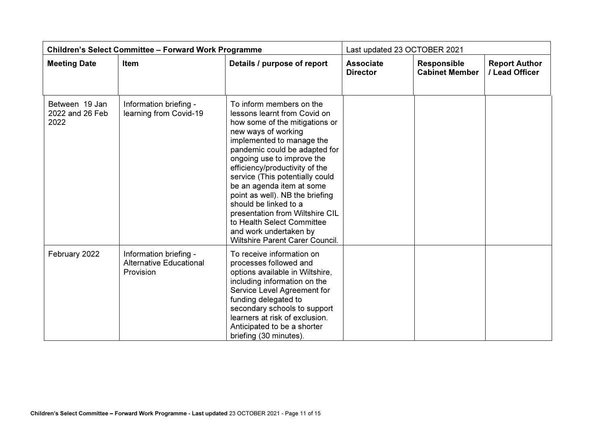| <b>Children's Select Committee - Forward Work Programme</b> |                                                                       |                                                                                                                                                                                                                                                                                                                                                                                                                                                                                                                  | Last updated 23 OCTOBER 2021        |                                             |                                        |
|-------------------------------------------------------------|-----------------------------------------------------------------------|------------------------------------------------------------------------------------------------------------------------------------------------------------------------------------------------------------------------------------------------------------------------------------------------------------------------------------------------------------------------------------------------------------------------------------------------------------------------------------------------------------------|-------------------------------------|---------------------------------------------|----------------------------------------|
| <b>Meeting Date</b>                                         | <b>Item</b>                                                           | Details / purpose of report                                                                                                                                                                                                                                                                                                                                                                                                                                                                                      | <b>Associate</b><br><b>Director</b> | <b>Responsible</b><br><b>Cabinet Member</b> | <b>Report Author</b><br>/ Lead Officer |
| Between 19 Jan<br>2022 and 26 Feb<br>2022                   | Information briefing -<br>learning from Covid-19                      | To inform members on the<br>lessons learnt from Covid on<br>how some of the mitigations or<br>new ways of working<br>implemented to manage the<br>pandemic could be adapted for<br>ongoing use to improve the<br>efficiency/productivity of the<br>service (This potentially could<br>be an agenda item at some<br>point as well). NB the briefing<br>should be linked to a<br>presentation from Wiltshire CIL<br>to Health Select Committee<br>and work undertaken by<br><b>Wiltshire Parent Carer Council.</b> |                                     |                                             |                                        |
| February 2022                                               | Information briefing -<br><b>Alternative Educational</b><br>Provision | To receive information on<br>processes followed and<br>options available in Wiltshire,<br>including information on the<br>Service Level Agreement for<br>funding delegated to<br>secondary schools to support<br>learners at risk of exclusion.<br>Anticipated to be a shorter<br>briefing (30 minutes).                                                                                                                                                                                                         |                                     |                                             |                                        |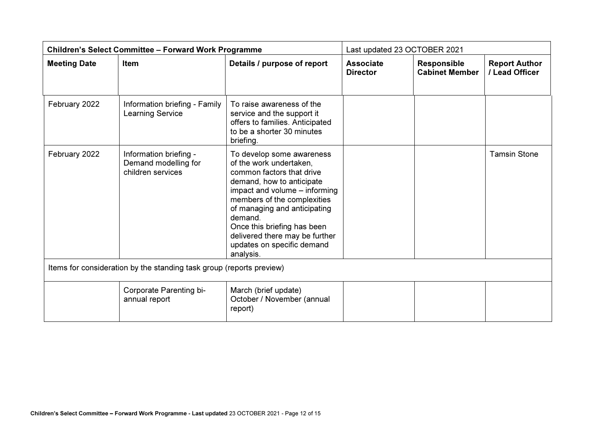| <b>Children's Select Committee - Forward Work Programme</b> |                                                                      |                                                                                                                                                                                                                                                                                                                                       | Last updated 23 OCTOBER 2021        |                                             |                                        |
|-------------------------------------------------------------|----------------------------------------------------------------------|---------------------------------------------------------------------------------------------------------------------------------------------------------------------------------------------------------------------------------------------------------------------------------------------------------------------------------------|-------------------------------------|---------------------------------------------|----------------------------------------|
| <b>Meeting Date</b>                                         | <b>Item</b>                                                          | Details / purpose of report                                                                                                                                                                                                                                                                                                           | <b>Associate</b><br><b>Director</b> | <b>Responsible</b><br><b>Cabinet Member</b> | <b>Report Author</b><br>/ Lead Officer |
| February 2022                                               | Information briefing - Family<br><b>Learning Service</b>             | To raise awareness of the<br>service and the support it<br>offers to families. Anticipated<br>to be a shorter 30 minutes<br>briefing.                                                                                                                                                                                                 |                                     |                                             |                                        |
| February 2022                                               | Information briefing -<br>Demand modelling for<br>children services  | To develop some awareness<br>of the work undertaken,<br>common factors that drive<br>demand, how to anticipate<br>impact and volume - informing<br>members of the complexities<br>of managing and anticipating<br>demand.<br>Once this briefing has been<br>delivered there may be further<br>updates on specific demand<br>analysis. |                                     |                                             | <b>Tamsin Stone</b>                    |
|                                                             | Items for consideration by the standing task group (reports preview) |                                                                                                                                                                                                                                                                                                                                       |                                     |                                             |                                        |
|                                                             | Corporate Parenting bi-<br>annual report                             | March (brief update)<br>October / November (annual<br>report)                                                                                                                                                                                                                                                                         |                                     |                                             |                                        |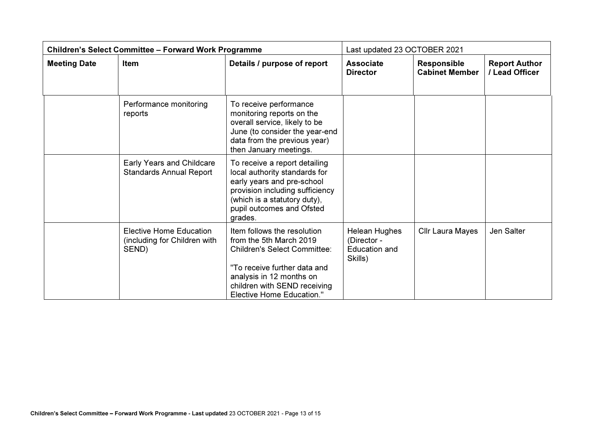| <b>Children's Select Committee - Forward Work Programme</b> |                                                                         |                                                                                                                                                                                                                               | Last updated 23 OCTOBER 2021                                           |                                             |                                        |
|-------------------------------------------------------------|-------------------------------------------------------------------------|-------------------------------------------------------------------------------------------------------------------------------------------------------------------------------------------------------------------------------|------------------------------------------------------------------------|---------------------------------------------|----------------------------------------|
| <b>Meeting Date</b>                                         | <b>Item</b>                                                             | Details / purpose of report                                                                                                                                                                                                   | <b>Associate</b><br><b>Director</b>                                    | <b>Responsible</b><br><b>Cabinet Member</b> | <b>Report Author</b><br>/ Lead Officer |
|                                                             | Performance monitoring<br>reports                                       | To receive performance<br>monitoring reports on the<br>overall service, likely to be<br>June (to consider the year-end<br>data from the previous year)<br>then January meetings.                                              |                                                                        |                                             |                                        |
|                                                             | Early Years and Childcare<br><b>Standards Annual Report</b>             | To receive a report detailing<br>local authority standards for<br>early years and pre-school<br>provision including sufficiency<br>(which is a statutory duty),<br>pupil outcomes and Ofsted<br>grades.                       |                                                                        |                                             |                                        |
|                                                             | <b>Elective Home Education</b><br>(including for Children with<br>SEND) | Item follows the resolution<br>from the 5th March 2019<br><b>Children's Select Committee:</b><br>"To receive further data and<br>analysis in 12 months on<br>children with SEND receiving<br><b>Elective Home Education."</b> | <b>Helean Hughes</b><br>(Director -<br><b>Education and</b><br>Skills) | Cllr Laura Mayes                            | Jen Salter                             |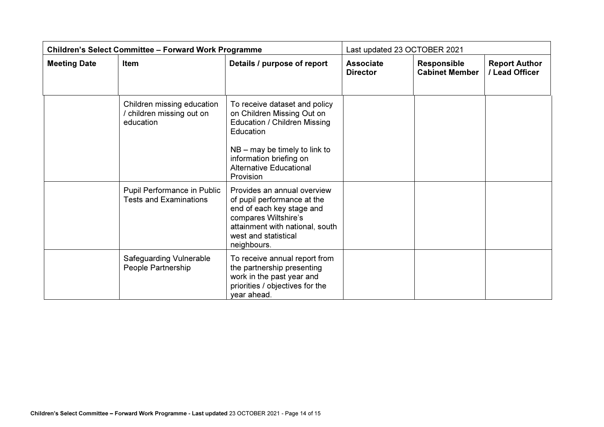| <b>Children's Select Committee - Forward Work Programme</b> |                                                                    |                                                                                                                                                                                                                              | Last updated 23 OCTOBER 2021        |                                             |                                        |
|-------------------------------------------------------------|--------------------------------------------------------------------|------------------------------------------------------------------------------------------------------------------------------------------------------------------------------------------------------------------------------|-------------------------------------|---------------------------------------------|----------------------------------------|
| <b>Meeting Date</b>                                         | Item                                                               | Details / purpose of report                                                                                                                                                                                                  | <b>Associate</b><br><b>Director</b> | <b>Responsible</b><br><b>Cabinet Member</b> | <b>Report Author</b><br>/ Lead Officer |
|                                                             | Children missing education<br>children missing out on<br>education | To receive dataset and policy<br>on Children Missing Out on<br><b>Education / Children Missing</b><br>Education<br>$NB -$ may be timely to link to<br>information briefing on<br><b>Alternative Educational</b><br>Provision |                                     |                                             |                                        |
|                                                             | Pupil Performance in Public<br><b>Tests and Examinations</b>       | Provides an annual overview<br>of pupil performance at the<br>end of each key stage and<br>compares Wiltshire's<br>attainment with national, south<br>west and statistical<br>neighbours.                                    |                                     |                                             |                                        |
|                                                             | <b>Safeguarding Vulnerable</b><br>People Partnership               | To receive annual report from<br>the partnership presenting<br>work in the past year and<br>priorities / objectives for the<br>year ahead.                                                                                   |                                     |                                             |                                        |